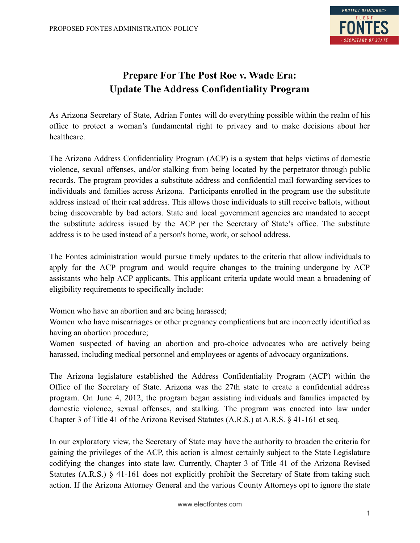

## **Prepare For The Post Roe v. Wade Era: Update The Address Confidentiality Program**

As Arizona Secretary of State, Adrian Fontes will do everything possible within the realm of his office to protect a woman's fundamental right to privacy and to make decisions about her healthcare.

The Arizona Address Confidentiality Program (ACP) is a system that helps victims of domestic violence, sexual offenses, and/or stalking from being located by the perpetrator through public records. The program provides a substitute address and confidential mail forwarding services to individuals and families across Arizona. Participants enrolled in the program use the substitute address instead of their real address. This allows those individuals to still receive ballots, without being discoverable by bad actors. State and local government agencies are mandated to accept the substitute address issued by the ACP per the Secretary of State's office. The substitute address is to be used instead of a person's home, work, or school address.

The Fontes administration would pursue timely updates to the criteria that allow individuals to apply for the ACP program and would require changes to the training undergone by ACP assistants who help ACP applicants. This applicant criteria update would mean a broadening of eligibility requirements to specifically include:

Women who have an abortion and are being harassed;

Women who have miscarriages or other pregnancy complications but are incorrectly identified as having an abortion procedure;

Women suspected of having an abortion and pro-choice advocates who are actively being harassed, including medical personnel and employees or agents of advocacy organizations.

The Arizona legislature established the Address Confidentiality Program (ACP) within the Office of the Secretary of State. Arizona was the 27th state to create a confidential address program. On June 4, 2012, the program began assisting individuals and families impacted by domestic violence, sexual offenses, and stalking. The program was enacted into law under Chapter 3 of Title 41 of the Arizona Revised Statutes (A.R.S.) at A.R.S. § 41-161 et seq.

In our exploratory view, the Secretary of State may have the authority to broaden the criteria for gaining the privileges of the ACP, this action is almost certainly subject to the State Legislature codifying the changes into state law. Currently, Chapter 3 of Title 41 of the Arizona Revised Statutes (A.R.S.) § 41-161 does not explicitly prohibit the Secretary of State from taking such action. If the Arizona Attorney General and the various County Attorneys opt to ignore the state